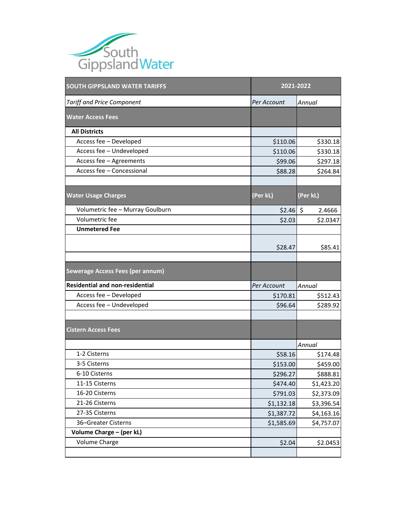

| <b>SOUTH GIPPSLAND WATER TARIFFS</b>   |             | 2021-2022  |  |  |
|----------------------------------------|-------------|------------|--|--|
| <b>Tariff and Price Component</b>      | Per Account | Annual     |  |  |
| <b>Water Access Fees</b>               |             |            |  |  |
| <b>All Districts</b>                   |             |            |  |  |
| Access fee - Developed                 | \$110.06    | \$330.18   |  |  |
| Access fee - Undeveloped               | \$110.06    | \$330.18   |  |  |
| Access fee - Agreements                | \$99.06     | \$297.18   |  |  |
| Access fee - Concessional              | \$88.28     | \$264.84   |  |  |
| <b>Water Usage Charges</b>             | (Per kL)    | (Per kL)   |  |  |
| Volumetric fee - Murray Goulburn       | $$2.46$ \$  | 2.4666     |  |  |
| Volumetric fee                         | \$2.03      | \$2.0347   |  |  |
| <b>Unmetered Fee</b>                   |             |            |  |  |
|                                        | \$28.47     | \$85.41    |  |  |
| Sewerage Access Fees (per annum)       |             |            |  |  |
| <b>Residential and non-residential</b> | Per Account | Annual     |  |  |
| Access fee - Developed                 | \$170.81    | \$512.43   |  |  |
| Access fee - Undeveloped               | \$96.64     | \$289.92   |  |  |
| <b>Cistern Access Fees</b>             |             |            |  |  |
|                                        |             | Annual     |  |  |
| 1-2 Cisterns                           | \$58.16     | \$174.48   |  |  |
| 3-5 Cisterns                           | \$153.00    | \$459.00   |  |  |
| 6-10 Cisterns                          | \$296.27    | \$888.81   |  |  |
| 11-15 Cisterns                         | \$474.40    | \$1,423.20 |  |  |
| 16-20 Cisterns                         | \$791.03    | \$2,373.09 |  |  |
| 21-26 Cisterns                         | \$1,132.18  | \$3,396.54 |  |  |
| 27-35 Cisterns                         | \$1,387.72  | \$4,163.16 |  |  |
| 36-Greater Cisterns                    | \$1,585.69  | \$4,757.07 |  |  |
| Volume Charge - (per kL)               |             |            |  |  |
| <b>Volume Charge</b>                   | \$2.04      | \$2.0453   |  |  |
|                                        |             |            |  |  |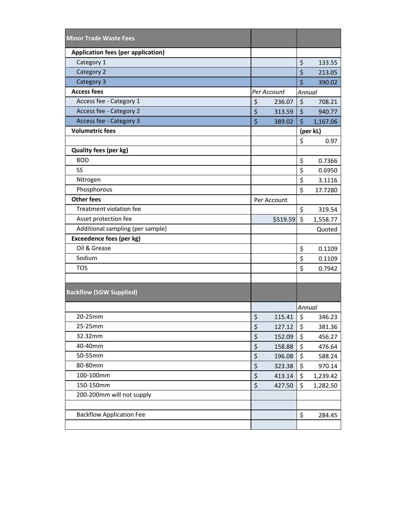| <b>Minor Trade Waste Fees</b>             |                       |             |          |          |
|-------------------------------------------|-----------------------|-------------|----------|----------|
| <b>Application fees (per application)</b> |                       |             |          |          |
| Category 1                                |                       |             | \$       | 133.55   |
| Category 2                                |                       |             | \$       | 213.05   |
| Category 3                                |                       |             | \$       | 390.02   |
| <b>Access fees</b>                        | Per Account<br>Annual |             |          |          |
| Access fee - Category 1                   | \$                    | 236.07      | \$       | 708.21   |
| Access fee - Category 2                   | \$                    | 313.59      | \$       | 940.77   |
| Access fee - Category 3                   | \$                    | 389.02      | \$       | 1,167.06 |
| <b>Volumetric fees</b>                    |                       |             | (per kL) |          |
|                                           |                       |             | \$       | 0.97     |
| <b>Quality fees (per kg)</b>              |                       |             |          |          |
| <b>BOD</b>                                |                       |             | \$       | 0.7366   |
| SS                                        |                       |             | \$       | 0.6950   |
| Nitrogen                                  |                       |             | \$       | 3.1116   |
| Phosphorous                               |                       |             | \$       | 17.7280  |
| <b>Other fees</b>                         |                       | Per Account |          |          |
| Treatment violation fee                   |                       |             | \$       | 319.54   |
| Asset protection fee                      |                       | \$519.59    | \$       | 1,558.77 |
| Additional sampling (per sample)          |                       |             |          | Quoted   |
| <b>Exceedence fees (per kg)</b>           |                       |             |          |          |
| Oil & Grease                              |                       |             | \$       | 0.1109   |
| Sodium                                    |                       |             | \$       | 0.1109   |
| <b>TOS</b>                                |                       |             | \$       | 0.7942   |
|                                           |                       |             |          |          |
| <b>Backflow (SGW Supplied)</b>            |                       |             |          |          |
|                                           |                       |             | Annual   |          |
| 20-25mm                                   | \$                    | 115.41      | \$       | 346.23   |
| 25-25mm                                   | $\mathsf{S}$          | 127.12      | \$       | 381.36   |
| 32.32mm                                   | \$                    | 152.09      | \$       | 456.27   |
| 40-40mm                                   | \$                    | 158.88      | \$       | 476.64   |
| 50-55mm                                   | \$                    | 196.08      | \$       | 588.24   |
| 80-80mm                                   | \$                    | 323.38      | \$       | 970.14   |
| 100-100mm                                 | \$                    | 413.14      | \$       | 1,239.42 |
| 150-150mm                                 | \$                    | 427.50      | \$       | 1,282.50 |
| 200-200mm will not supply                 |                       |             |          |          |
|                                           |                       |             |          |          |
| <b>Backflow Application Fee</b>           |                       |             | \$       | 284.45   |
|                                           |                       |             |          |          |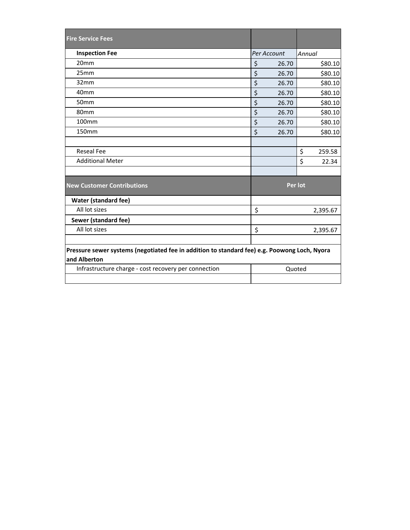| <b>Fire Service Fees</b>                                                                                     |                |       |        |         |
|--------------------------------------------------------------------------------------------------------------|----------------|-------|--------|---------|
| <b>Inspection Fee</b>                                                                                        | Per Account    |       | Annual |         |
| 20mm                                                                                                         | \$             | 26.70 |        | \$80.10 |
| 25mm                                                                                                         | \$             | 26.70 |        | \$80.10 |
| 32mm                                                                                                         | \$             | 26.70 |        | \$80.10 |
| 40 <sub>mm</sub>                                                                                             | \$             | 26.70 |        | \$80.10 |
| 50mm                                                                                                         | \$             | 26.70 |        | \$80.10 |
| 80mm                                                                                                         | \$             | 26.70 |        | \$80.10 |
| 100mm                                                                                                        | \$             | 26.70 |        | \$80.10 |
| 150mm                                                                                                        | \$             | 26.70 |        | \$80.10 |
|                                                                                                              |                |       |        |         |
| <b>Reseal Fee</b>                                                                                            |                |       | \$     | 259.58  |
| <b>Additional Meter</b>                                                                                      |                |       | \$     | 22.34   |
|                                                                                                              |                |       |        |         |
| <b>New Customer Contributions</b>                                                                            | Per lot        |       |        |         |
| <b>Water (standard fee)</b>                                                                                  |                |       |        |         |
| All lot sizes                                                                                                | \$<br>2,395.67 |       |        |         |
| Sewer (standard fee)                                                                                         |                |       |        |         |
| All lot sizes                                                                                                | \$<br>2,395.67 |       |        |         |
|                                                                                                              |                |       |        |         |
| Pressure sewer systems (negotiated fee in addition to standard fee) e.g. Poowong Loch, Nyora<br>and Alberton |                |       |        |         |
| Infrastructure charge - cost recovery per connection                                                         | Quoted         |       |        |         |
|                                                                                                              |                |       |        |         |